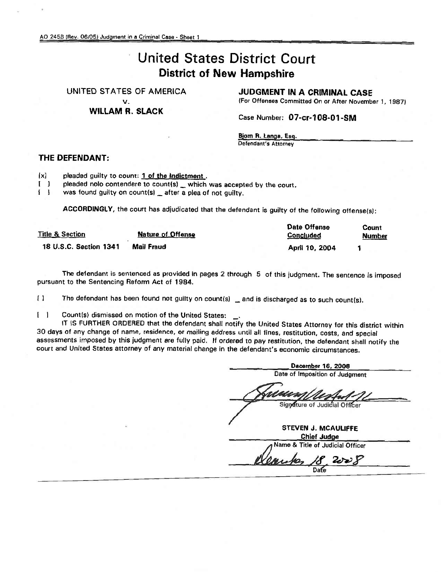# United States District Court District of New Hampshire

#### UNITED STATES OF AMERICA

v.

### WILLAM R. SLACK

JUDGMENT IN A CRIMINAL CASE

(For Offenses Committed On or After November 1, 1987)

Case Number: 07-cr-108-01-SM

Bjorn R. langa. Esq. Defendant's Attorney

### THE DEFENDANT:

 $[x]$  pleaded guilty to count: 1 of the Indictment.

[ ] pleaded nolo contendere to count(s) which was accepted by the court.

I I was found guilty on count(s) \_ after a plea of not guilty.

ACCORDINGLY, the court has adjudicated that the defendant is guilty of the following offense(s):

| <b>Title &amp; Section</b> | <b>Nature of Offense</b> | Date Offense<br><b>Concluded</b> | Count<br><b>Number</b> |  |
|----------------------------|--------------------------|----------------------------------|------------------------|--|
| 18 U.S.C. Section 1341     | Mail Fraud               | April 10, 2004                   |                        |  |

The defendant is sentenced as provided in pages 2 through 5 of this judgment. The sentence is imposed pursuant to the Sentencing Reform Act of 1984.

[ ] The defendant has been found not guilty on count(s) \_ and is discharged as to such count(s).

I I Count{s) dismissed on motion of the United States: \_.

IT !S FURTHER ORDERED that the defendant shall notify the United States Attorney for this district within 30 days of any change of name, residence, or mailing address until all fines, restitution, costs, and special assessments imposed by this judgment are fully paid. If ordered to pay restitution, the defendant shall notify the court and United States attorney of any material change in the defendant's economic circumstances.

December 16. *2008* Date of Imposition of Judgment Signature of Judicial Officer STEVEN J. MCAULIFfE Chief Judge<br>Name & Title of Judicial Officer *~g.~F*  $18.2008$ Dafe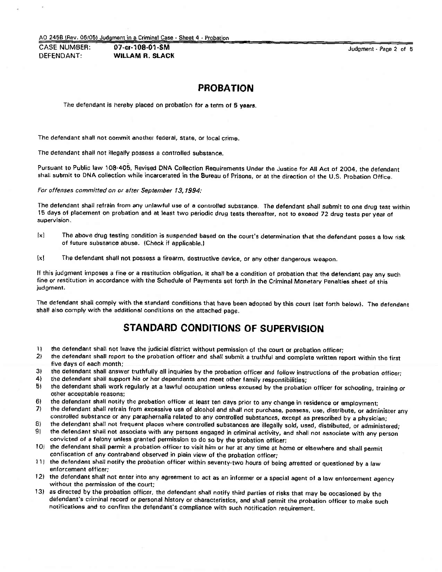AD 2456 \Rev. *06/051* Judgmentin a CriminalCasa- Sheet 4 . Probation

CASE NUMBER: **07-cr·108·01·SM** DEFENDANT: **WILLAM R. SLACK**

Judgment - Page 2 of 5

### **PROBATION**

The defendant is hereby placed on probation for a term of 5 years.

The defendant shall not commit another federal, state, or local crime.

The defendant shall not illegally possess a controlled substance.

Pursuant to Public law 108·405. Revised DNA Collection Requirements Under the Justice for All Act of 2004. the defendant shall submit to DNA collection while incarcerated in the Bureau of Prisons, or at the direction of the U.S. Probation Office.

For offenses committed on or after September 13, 1994:

The defendant shall refrain from any unlawful use of a controlled substance. The defendant shall submit to one drug test within 15 days of placement on probation and at least two periodic drug tests thereafter, not to exceed 72 drug tests per year of supervision.

- lxl The above drug testing condition is suspended based on the court's determination that the defendant poses a low risk of future substance abuse. (Check if applicable.)
- [xl The defendant shall not possess a firearm. destructive device, or any other dangerous weapon.

If this judgment imposes a fine or a restitution obligation, it shall be a condition of probation that the detendant pay any such fine or restitution in accordance with the Schedule of Payments set forth in the Criminal Monetary Penalties sheet of this judgment.

The defendant shall comply with the standard conditions that have been adopted by this court Iset forth below). The defendant shall also comply with the additional conditions on the attached page.

# **STANDARD CONDITIONS OF SUPERVISION**

- 11 the defendant shall not leave the judicial district without permission of the court or probation officer;
- 21 the defendant shall report to the probation officer and shall submit a truthful and complete written report within the first five days of each month;
- 3) the defendant shall answer truthfully all inquiries by the probation officer and follow instructions of the probation officer;
- 4) the defendant shall support his or her dependants and meet other family responsibilities;
- 51 the defendant shall work regularly at a lawful occupation unless excused by the probation officer for schooling, training or other acceptable reasons;
- 6) the defendant shall notify the probation officer at least ten days prior to any change in residence or employment;
- 7) the defendant shall refrain from excessive use of alcohol and *shall* not purchase, possess, use, distribute, or administer any controlled substance or any paraphernalia related to any controlled substances, except as prescribed by a physician;
- 8) the defendant shall not frequent places where controlled substances are illegally sold, used, distributed, or administered; 91 the defendant shall not associate with any persons engaged in criminal activity, and shall not associate with any person convicted of a felony unless granted permission to do so by the probation officer;
- 10) the defendant shall permit a probation officer to visit him or her at any time at home or elsewhere and shall permit confiscation of any contraband observed in plain view of the probation officer;
- 11) the defendant shall notify the probation officer within seventy-two hours of being arrested or questioned by a law enforcement officer;
- 121 the defendant shall not enter into any agreement to act as an informer or a special agent of a law enforcement agency without the permission of the court;
- 131 as directed by the probation officer, the defendant shall notify third parties 01 risks that may be occasioned by the defendant's criminal record or personal history or characteristics, and shall permit the probation officer to make such notifications and to confirm the defendant's compliance with such notification requirement.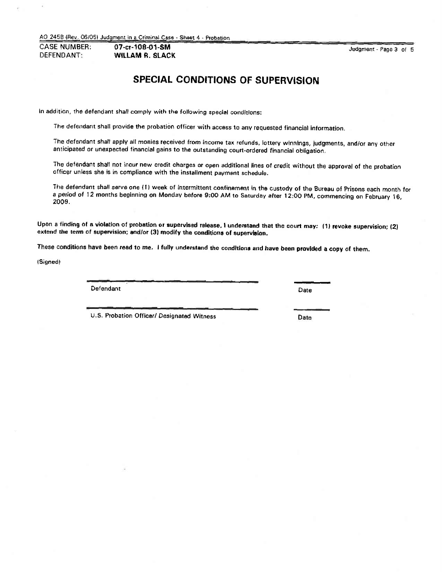AO 2459 (Rev. 061051 Judgment in a Criminal Case· Sheet 4· Probation

CASE NUMBER: 07·Cf·108·01·SM DEFENDANT: **WILLAM** R. SLACK

Judgment - Page3 of 5

# **SPECIAL CONDITIONS OF SUPERVISION**

in addition, the defendant shall comply with the following special conditions:

The defendant shall provide the probation officer with access to any requested financial information.

The defendant shall apply all monies received from income tax refunds. lottery winnings, judgments, and/or any other anticipated or unexpected financial gains to the outstanding court-ordered financial Obligation.

The defendant shall not incur new credit charges or open additional lines of credit without the approval of the probation officer unless she is in compliance with the installment payment schedule.

The defendant shall *serve* one {11 week of intermittent confinement in the custody of the Bureau of Prisons each month tor a period of 12 months beginning on Monday before 9:00 AM to Saturday after 12:00 PM, commencing on February 16, 2009.

Upon a finding of a violation of probation or supervised release. I understand that the court may: (1) revoke supervision; (2) extend the term of supervision; and/or (3) modify the conditions of supervision.

These conditions have been read to me. I fully understand the conditions and have been provided a copy of them.

ISigned)

Defendant Date

U.S. Probation Officer/ Designated Witness Case Cate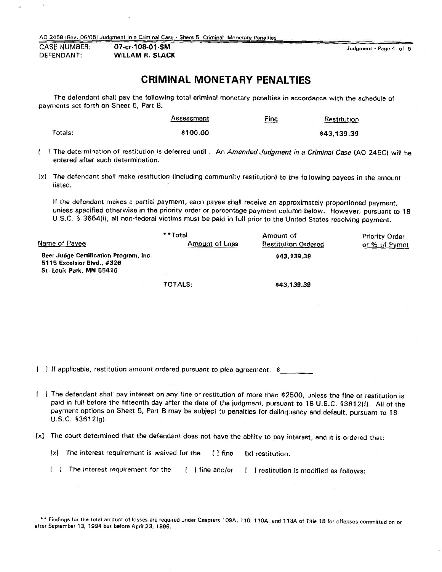AO 2458 IRev. 06105) Judgment in a Criminal Case - Sheet 5 Criminal Monetary Penalties

CASE NUMBER: 07-cr-108-01-SM DEFENDANT: **WILLAM R. SLACK** 

Judgment - Page 4 of 5

## **CRIMINAL MONETARY PENALTIES**

The defendant shall pay the following total criminal monetary penalties in accordance with the schedule of payments set forth on Sheet 5, Part 8.

|         | <b>Assessment</b> | <u>Fine</u> | Restitution |
|---------|-------------------|-------------|-------------|
| Totals: | \$100.00          |             | \$43,139.39 |

- 1 The determination of restitution is deferred until. An *Amended Judgment in a Criminal Case* (AO 245C) will be entered after such determination.
- lxl The defendant shall make restitution (Including community restitution) to the following payees in the amount listed.

If the defendant makes a partial payment, each payee shall receive an approximately proportioned payment, unless specified otherwise in the priority order or percentage payment column below. However, pursuant to 18 U.S.C. § 3664(i), all non-federal victims must be paid in full prior to the United States receiving payment.

|                                                                                                  | * * Total      | Amount of                  | <b>Priority Order</b> |
|--------------------------------------------------------------------------------------------------|----------------|----------------------------|-----------------------|
| Name of Payee                                                                                    | Amount of Loss | <b>Restitution Ordered</b> | or % of Pymnt         |
| Beer Judge Certification Program, Inc.<br>5115 Excelsior Blvd., #326<br>St. Louis Park, MN 55416 |                | \$43,139.39                |                       |
|                                                                                                  | TOTALS:        | \$43,139.39                |                       |

[ ] If applicable, restitution amount ordered pursuant to plea agreement. \$

- I The defendant shall pay interest on any fine or restitution of more than \$2500, unless the fine or restitution is paid in full before the fifteenth day after the date of the judgment, pursuant to 18 U.S.C. §3612(f). All of the payment options on Sheet 5, Part B may be subject to penalties for delinquency and default. pursuant to 18 U.S.C. §3612(g}.
- lxl *The* court determined that the defendant does not have the ability to pay interest. and it is ordered that:
	- [x] The interest requirement is waived for the [1] fine [x] restitution.
	- [ ] The interest requirement for the [ ] fine and/or [ ] restitution is modified as follows:

\*\* Findings for the total amount of losses are required under Chapters 109A, 110, 110A, and 113A of Title 18 for offenses committed on or after September 13, 1994 but before April 23, 1996.